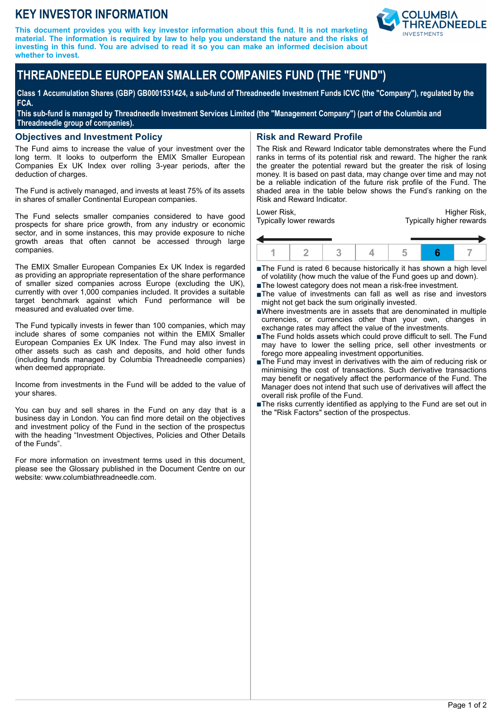# **KEY INVESTOR INFORMATION**

**This document provides you with key investor information about this fund. It is not marketing material. The information is required by law to help you understand the nature and the risks of investing in this fund. You are advised to read it so you can make an informed decision about whether to invest.**



**Class 1 Accumulation Shares (GBP) GB0001531424, a sub-fund of Threadneedle Investment Funds ICVC (the "Company"), regulated by the FCA.**

**This sub-fund is managed by Threadneedle Investment Services Limited (the "Management Company") (part of the Columbia and Threadneedle group of companies).**

#### **Objectives and Investment Policy**

The Fund aims to increase the value of your investment over the long term. It looks to outperform the EMIX Smaller European Companies Ex UK Index over rolling 3-year periods, after the deduction of charges.

The Fund is actively managed, and invests at least 75% of its assets in shares of smaller Continental European companies.

The Fund selects smaller companies considered to have good prospects for share price growth, from any industry or economic sector, and in some instances, this may provide exposure to niche growth areas that often cannot be accessed through large companies.

The EMIX Smaller European Companies Ex UK Index is regarded as providing an appropriate representation of the share performance of smaller sized companies across Europe (excluding the UK), currently with over 1,000 companies included. It provides a suitable target benchmark against which Fund performance will be measured and evaluated over time.

The Fund typically invests in fewer than 100 companies, which may include shares of some companies not within the EMIX Smaller European Companies Ex UK Index. The Fund may also invest in other assets such as cash and deposits, and hold other funds (including funds managed by Columbia Threadneedle companies) when deemed appropriate.

Income from investments in the Fund will be added to the value of your shares.

You can buy and sell shares in the Fund on any day that is a business day in London. You can find more detail on the objectives and investment policy of the Fund in the section of the prospectus with the heading "Investment Objectives, Policies and Other Details of the Funds".

For more information on investment terms used in this document, please see the Glossary published in the Document Centre on our website: www.columbiathreadneedle.com.

## **Risk and Reward Profile**

The Risk and Reward Indicator table demonstrates where the Fund ranks in terms of its potential risk and reward. The higher the rank the greater the potential reward but the greater the risk of losing money. It is based on past data, may change over time and may not be a reliable indication of the future risk profile of the Fund. The shaded area in the table below shows the Fund's ranking on the Risk and Reward Indicator.

Lower Risk, Typically lower rewards

Higher Risk, Typically higher rewards



■The Fund is rated 6 because historically it has shown a high level of volatility (how much the value of the Fund goes up and down).

- ■The lowest category does not mean a risk-free investment.
- nThe value of investments can fall as well as rise and investors might not get back the sum originally invested.
- nWhere investments are in assets that are denominated in multiple currencies, or currencies other than your own, changes in exchange rates may affect the value of the investments.
- ■The Fund holds assets which could prove difficult to sell. The Fund may have to lower the selling price, sell other investments or forego more appealing investment opportunities.
- ■The Fund may invest in derivatives with the aim of reducing risk or minimising the cost of transactions. Such derivative transactions may benefit or negatively affect the performance of the Fund. The Manager does not intend that such use of derivatives will affect the overall risk profile of the Fund.
- The risks currently identified as applying to the Fund are set out in the "Risk Factors" section of the prospectus.